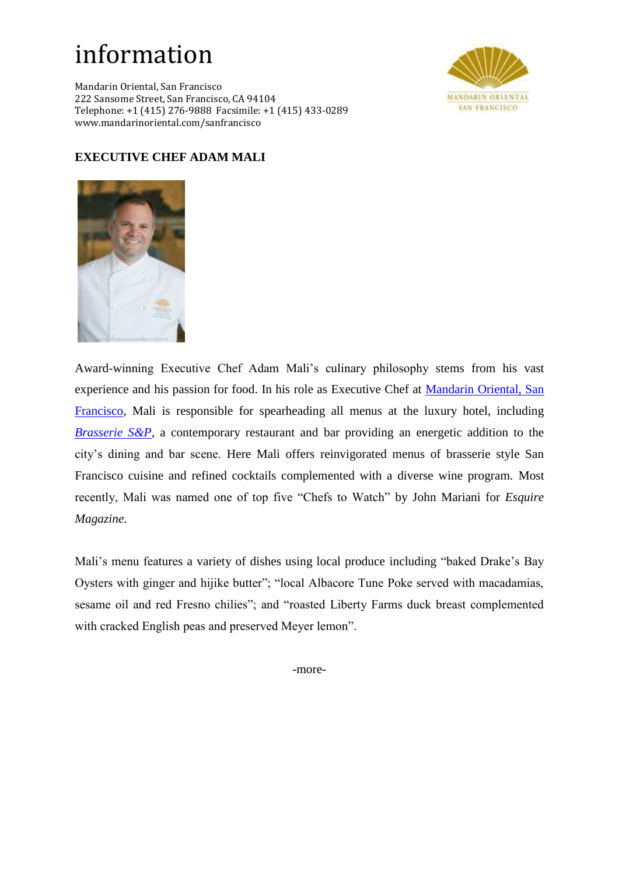## information

Mandarin Oriental, San Francisco 222 Sansome Street, San Francisco, CA 94104 Telephone: +1 (415) 276-9888 Facsimile: +1 (415) 433-0289 www.mandarinoriental.com/sanfrancisco



## **EXECUTIVE CHEF ADAM MALI**



Award-winning Executive Chef Adam Mali's culinary philosophy stems from his vast experience and his passion for food. In his role as Executive Chef at [Mandarin Oriental, San](http://www.mandarinoriental.com/sanfrancisco/)  [Francisco,](http://www.mandarinoriental.com/sanfrancisco/) Mali is responsible for spearheading all menus at the luxury hotel, including *Brasserie S&P*, a contemporary restaurant and bar providing an energetic addition to the city's dining and bar scene. Here Mali offers reinvigorated menus of brasserie style San Francisco cuisine and refined cocktails complemented with a diverse wine program. Most recently, Mali was named one of top five "Chefs to Watch" by John Mariani for *Esquire Magazine.*

Mali's menu features a variety of dishes using local produce including "baked Drake's Bay Oysters with ginger and hijike butter"; "local Albacore Tune Poke served with macadamias, sesame oil and red Fresno chilies"; and "roasted Liberty Farms duck breast complemented with cracked English peas and preserved Meyer lemon".

-more-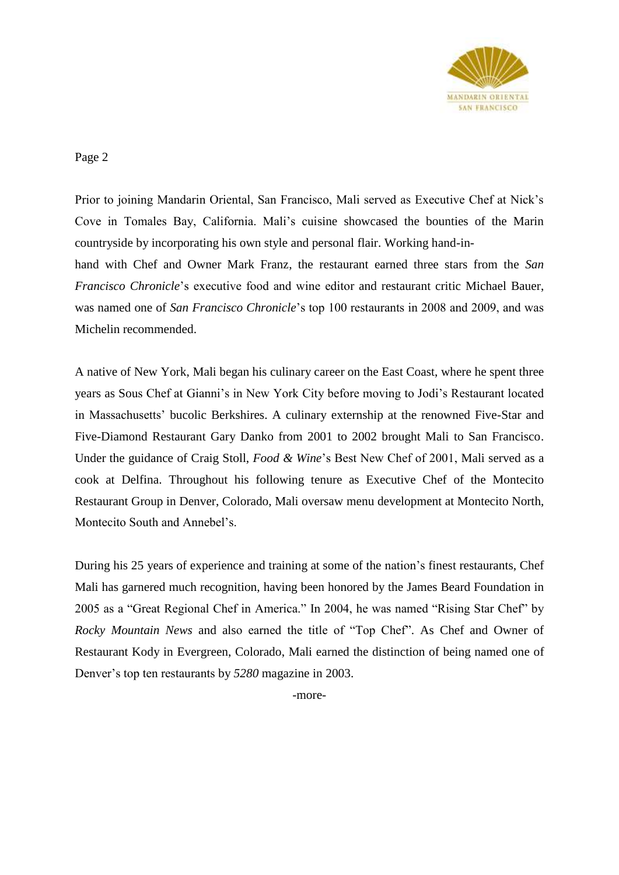

Page 2

Prior to joining Mandarin Oriental, San Francisco, Mali served as Executive Chef at Nick's Cove in Tomales Bay, California. Mali's cuisine showcased the bounties of the Marin countryside by incorporating his own style and personal flair. Working hand-in-

hand with Chef and Owner Mark Franz, the restaurant earned three stars from the *San Francisco Chronicle*'s executive food and wine editor and restaurant critic Michael Bauer, was named one of *San Francisco Chronicle*'s top 100 restaurants in 2008 and 2009, and was Michelin recommended.

A native of New York, Mali began his culinary career on the East Coast, where he spent three years as Sous Chef at Gianni's in New York City before moving to Jodi's Restaurant located in Massachusetts' bucolic Berkshires. A culinary externship at the renowned Five-Star and Five-Diamond Restaurant Gary Danko from 2001 to 2002 brought Mali to San Francisco. Under the guidance of Craig Stoll, *Food & Wine*'s Best New Chef of 2001, Mali served as a cook at Delfina. Throughout his following tenure as Executive Chef of the Montecito Restaurant Group in Denver, Colorado, Mali oversaw menu development at Montecito North, Montecito South and Annebel's.

During his 25 years of experience and training at some of the nation's finest restaurants, Chef Mali has garnered much recognition, having been honored by the James Beard Foundation in 2005 as a "Great Regional Chef in America." In 2004, he was named "Rising Star Chef" by *Rocky Mountain News* and also earned the title of "Top Chef". As Chef and Owner of Restaurant Kody in Evergreen, Colorado, Mali earned the distinction of being named one of Denver's top ten restaurants by *5280* magazine in 2003.

-more-